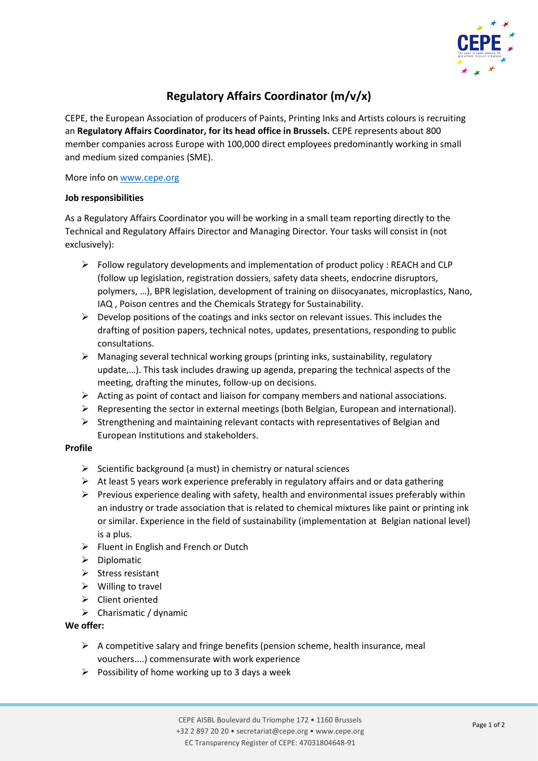

# **Regulatory Affairs Coordinator (m/v/x)**

CEPE, the European Association of producers of Paints, Printing Inks and Artists colours is recruiting an **Regulatory Affairs Coordinator, for its head office in Brussels.** CEPE represents about 800 member companies across Europe with 100,000 direct employees predominantly working in small and medium sized companies (SME).

#### More info on [www.cepe.org](http://www.cepe.org/)

### **Job responsibilities**

As a Regulatory Affairs Coordinator you will be working in a small team reporting directly to the Technical and Regulatory Affairs Director and Managing Director. Your tasks will consist in (not exclusively):

- $\triangleright$  Follow regulatory developments and implementation of product policy : REACH and CLP (follow up legislation, registration dossiers, safety data sheets, endocrine disruptors, polymers, …), BPR legislation, development of training on diisocyanates, microplastics, Nano, IAQ , Poison centres and the Chemicals Strategy for Sustainability.
- $\triangleright$  Develop positions of the coatings and inks sector on relevant issues. This includes the drafting of position papers, technical notes, updates, presentations, responding to public consultations.
- $\triangleright$  Managing several technical working groups (printing inks, sustainability, regulatory update,…). This task includes drawing up agenda, preparing the technical aspects of the meeting, drafting the minutes, follow-up on decisions.
- $\triangleright$  Acting as point of contact and liaison for company members and national associations.
- ➢ Representing the sector in external meetings (both Belgian, European and international).
- $\triangleright$  Strengthening and maintaining relevant contacts with representatives of Belgian and European Institutions and stakeholders.

## **Profile**

- $\triangleright$  Scientific background (a must) in chemistry or natural sciences
- $\triangleright$  At least 5 years work experience preferably in regulatory affairs and or data gathering
- $\triangleright$  Previous experience dealing with safety, health and environmental issues preferably within an industry or trade association that is related to chemical mixtures like paint or printing ink or similar. Experience in the field of sustainability (implementation at Belgian national level) is a plus.
- ➢ Fluent in English and French or Dutch
- ➢ Diplomatic
- ➢ Stress resistant
- $\triangleright$  Willing to travel
- ➢ Client oriented
- $\triangleright$  Charismatic / dynamic

## **We offer:**

- $\triangleright$  A competitive salary and fringe benefits (pension scheme, health insurance, meal vouchers....) commensurate with work experience
- $\triangleright$  Possibility of home working up to 3 days a week